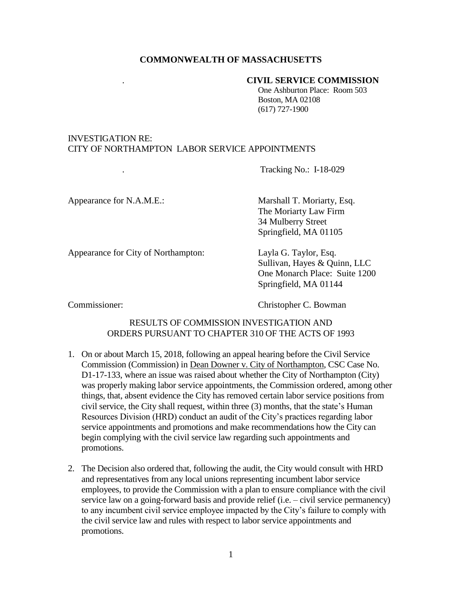## **COMMONWEALTH OF MASSACHUSETTS**

#### . **CIVIL SERVICE COMMISSION**

One Ashburton Place: Room 503 Boston, MA 02108 (617) 727-1900

# INVESTIGATION RE: CITY OF NORTHAMPTON LABOR SERVICE APPOINTMENTS

. Tracking No.: I-18-029

Appearance for N.A.M.E.: Marshall T. Moriarty, Esq. The Moriarty Law Firm 34 Mulberry Street Springfield, MA 01105

Appearance for City of Northampton: Layla G. Taylor, Esq.

Sullivan, Hayes & Quinn, LLC One Monarch Place: Suite 1200 Springfield, MA 01144

Commissioner: Christopher C. Bowman

## RESULTS OF COMMISSION INVESTIGATION AND ORDERS PURSUANT TO CHAPTER 310 OF THE ACTS OF 1993

- 1. On or about March 15, 2018, following an appeal hearing before the Civil Service Commission (Commission) in Dean Downer v. City of Northampton, CSC Case No. D1-17-133, where an issue was raised about whether the City of Northampton (City) was properly making labor service appointments, the Commission ordered, among other things, that, absent evidence the City has removed certain labor service positions from civil service, the City shall request, within three (3) months, that the state's Human Resources Division (HRD) conduct an audit of the City's practices regarding labor service appointments and promotions and make recommendations how the City can begin complying with the civil service law regarding such appointments and promotions.
- 2. The Decision also ordered that, following the audit, the City would consult with HRD and representatives from any local unions representing incumbent labor service employees, to provide the Commission with a plan to ensure compliance with the civil service law on a going-forward basis and provide relief (i.e. – civil service permanency) to any incumbent civil service employee impacted by the City's failure to comply with the civil service law and rules with respect to labor service appointments and promotions.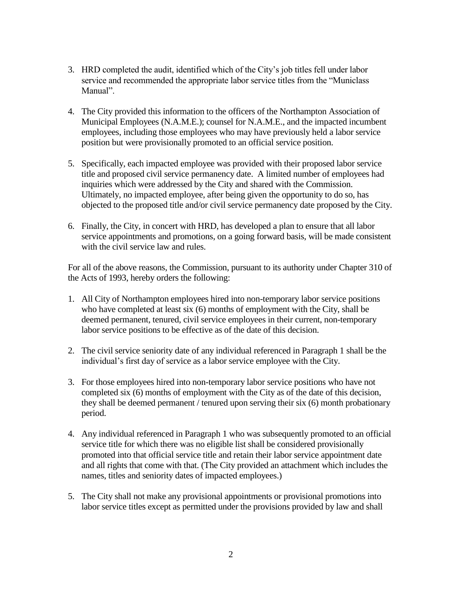- 3. HRD completed the audit, identified which of the City's job titles fell under labor service and recommended the appropriate labor service titles from the "Municlass Manual".
- 4. The City provided this information to the officers of the Northampton Association of Municipal Employees (N.A.M.E.); counsel for N.A.M.E., and the impacted incumbent employees, including those employees who may have previously held a labor service position but were provisionally promoted to an official service position.
- 5. Specifically, each impacted employee was provided with their proposed labor service title and proposed civil service permanency date. A limited number of employees had inquiries which were addressed by the City and shared with the Commission. Ultimately, no impacted employee, after being given the opportunity to do so, has objected to the proposed title and/or civil service permanency date proposed by the City.
- 6. Finally, the City, in concert with HRD, has developed a plan to ensure that all labor service appointments and promotions, on a going forward basis, will be made consistent with the civil service law and rules.

For all of the above reasons, the Commission, pursuant to its authority under Chapter 310 of the Acts of 1993, hereby orders the following:

- 1. All City of Northampton employees hired into non-temporary labor service positions who have completed at least six (6) months of employment with the City, shall be deemed permanent, tenured, civil service employees in their current, non-temporary labor service positions to be effective as of the date of this decision.
- 2. The civil service seniority date of any individual referenced in Paragraph 1 shall be the individual's first day of service as a labor service employee with the City.
- 3. For those employees hired into non-temporary labor service positions who have not completed six (6) months of employment with the City as of the date of this decision, they shall be deemed permanent / tenured upon serving their six (6) month probationary period.
- 4. Any individual referenced in Paragraph 1 who was subsequently promoted to an official service title for which there was no eligible list shall be considered provisionally promoted into that official service title and retain their labor service appointment date and all rights that come with that. (The City provided an attachment which includes the names, titles and seniority dates of impacted employees.)
- 5. The City shall not make any provisional appointments or provisional promotions into labor service titles except as permitted under the provisions provided by law and shall